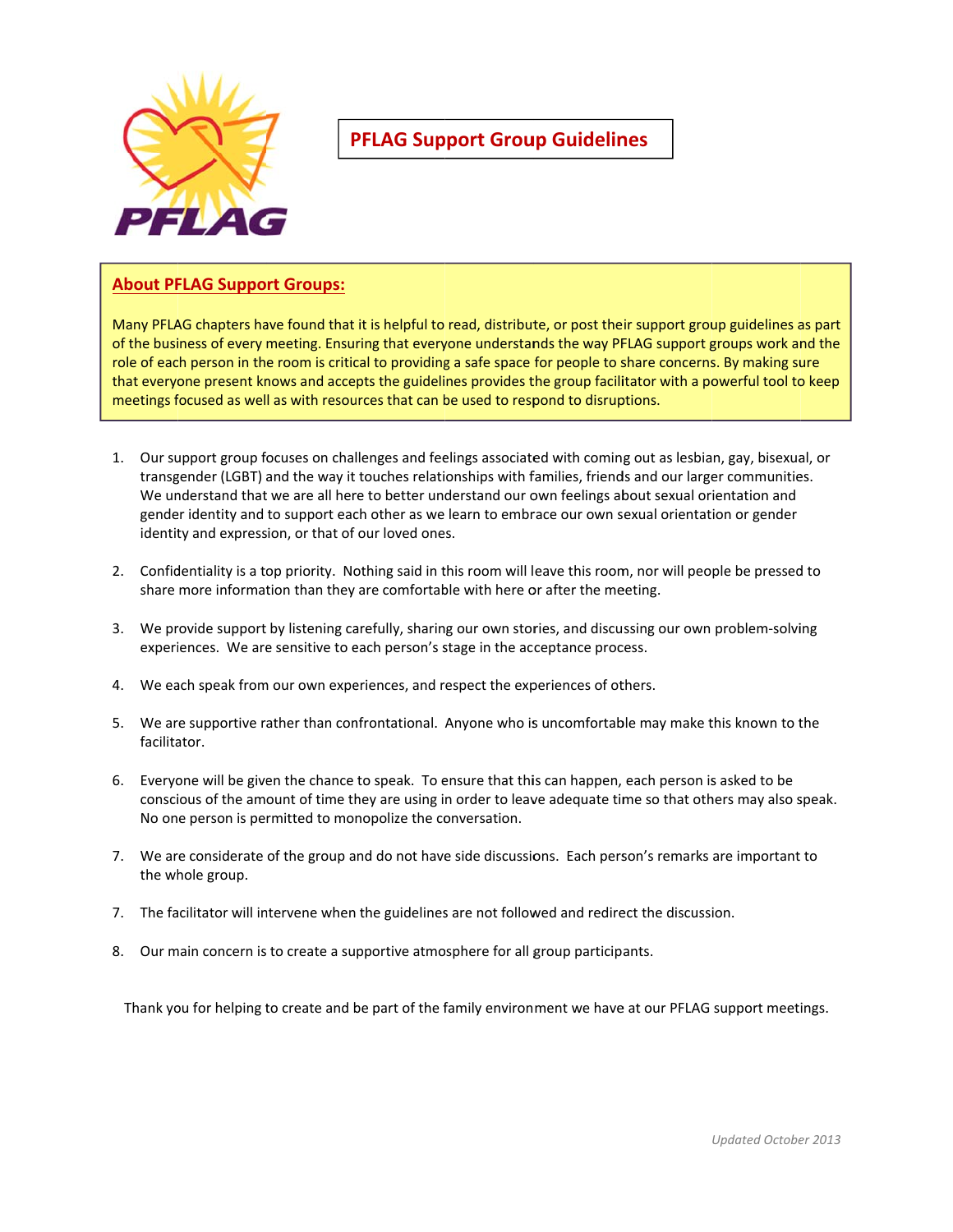

# **PFLAG Support Group Guidelines**

#### **About PF FLAG Suppo rt Groups:**

Many PFLAG chapters have found that it is helpful to read, distribute, or post their support group guidelines as part of the business of every meeting. Ensuring that everyone understands the way PFLAG support groups work and the role of each person in the room is critical to providing a safe space for people to share concerns. By making sure that everyone present knows and accepts the guidelines provides the group facilitator with a powerful tool to keep meetings focused as well as with resources that can be used to respond to disruptions.

- 1. Our support group focuses on challenges and feelings associated with coming out as lesbian, gay, bisexual, or transgender (LGBT) and the way it touches relationships with families, friends and our larger communities. We understand that we are all here to better understand our own feelings about sexual orientation and gender identity and to support each other as we learn to embrace our own sexual orientation or gender identity and expression, or that of our loved ones.
- 2. Confidentiality is a top priority. Nothing said in this room will leave this room, nor will people be pressed to share more information than they are comfortable with here or after the meeting.
- 3. We provide support by listening carefully, sharing our own stories, and discussing our own problem-solving experiences. We are sensitive to each person's stage in the acceptance process.
- 4. We each speak from our own experiences, and respect the experiences of others.
- 5. We are supportive rather than confrontational. Anyone who is uncomfortable may make this known to the facilita ator.
- 6. Everyone will be given the chance to speak. To ensure that this can happen, each person is asked to be conscious of the amount of time they are using in order to leave adequate time so that others may also speak. No one person is permitted to monopolize the conversation.
- 7. We are considerate of the group and do not have side discussions. Each person's remarks are important to the wh hole group.
- 7. The facilitator will intervene when the guidelines are not followed and redirect the discussion.
- 8. Our main concern is to create a supportive atmosphere for all group participants.

Thank you for helping to create and be part of the family environment we have at our PFLAG support meetings.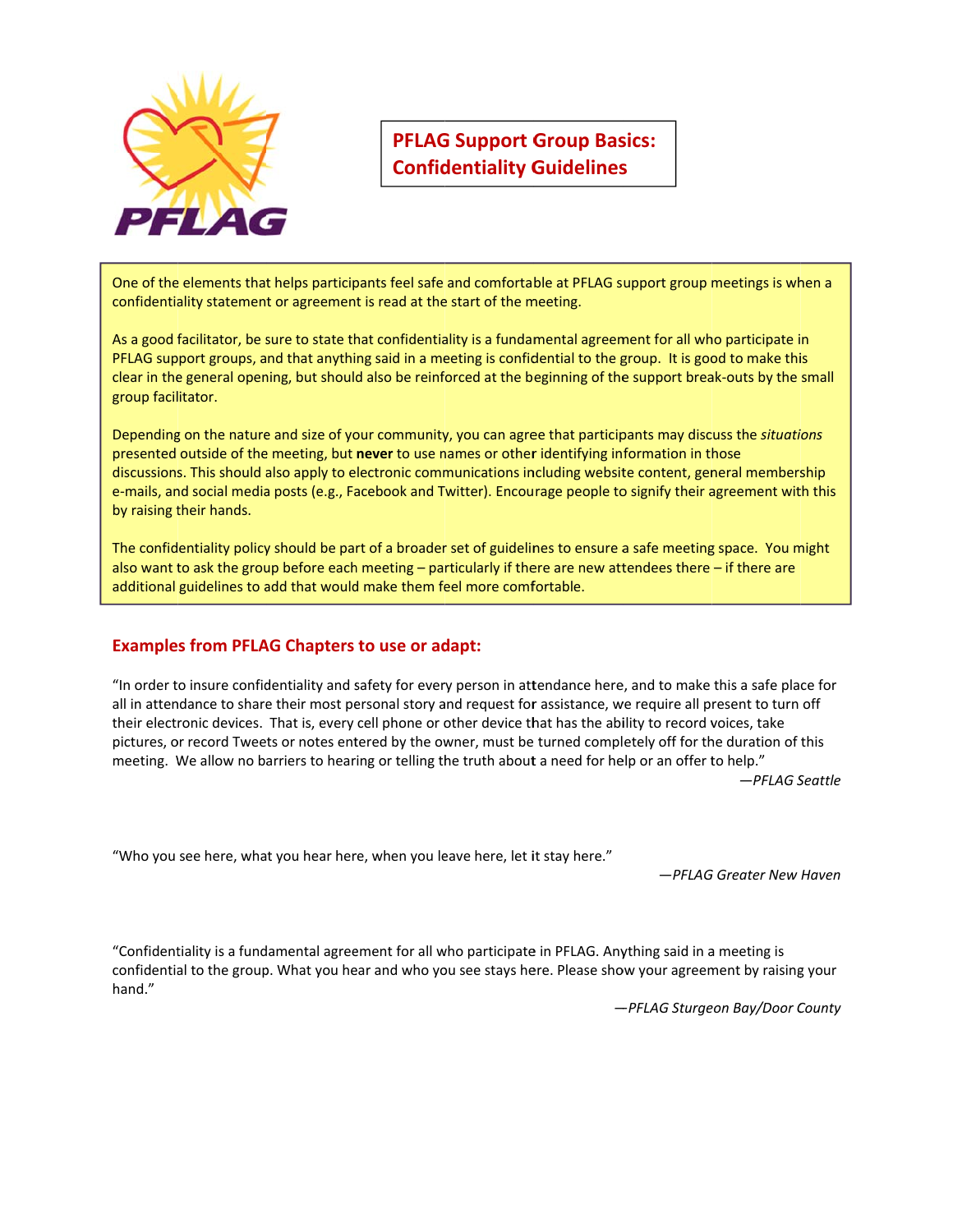

# **PFLAG G Support G Group Bas sics: Confidentiality Guidelines**

One of the elements that helps participants feel safe and comfortable at PFLAG support group meetings is when a confidentiality statement or agreement is read at the start of the meeting.

As a good facilitator, be sure to state that confidentiality is a fundamental agreement for all who participate in PFLAG support groups, and that anything said in a meeting is confidential to the group. It is good to make this clear in the general opening, but should also be reinforced at the beginning of the support break-outs by the small group facil itator.

Depending on the nature and size of your community, you can agree that participants may discuss the situations presented outside of the meeting, but **never** to use names or other identifying information in those discussions. This should also apply to electronic communications including website content, general membership e-mails, and social media posts (e.g., Facebook and Twitter). Encourage people to signify their agreement with this by raising their hands.

The confidentiality policy should be part of a broader set of guidelines to ensure a safe meeting space. You might also want to ask the group before each meeting – particularly if there are new attendees there – if there are additional guidelines to add that would make them feel more comfortable.

### **Example s from PFLA AG Chapters to use or ad dapt:**

"In order to insure confidentiality and safety for every person in attendance here, and to make this a safe place for all in attendance to share their most personal story and request for assistance, we require all present to turn off their electronic devices. That is, every cell phone or other device that has the ability to record voices, take pictures, or record Tweets or notes entered by the owner, must be turned completely off for the duration of this meeting. We allow no barriers to hearing or telling the truth about a need for help or an offer to help." *—PFLAG S Seattle*

"Who you see here, what you hear here, when you leave here, let it stay here."

*—PFLAG G Greater New Haven* 

"Confidentiality is a fundamental agreement for all who participate in PFLAG. Anything said in a meeting is confidential to the group. What you hear and who you see stays here. Please show your agreement by raising your hand."

*— —PFLAG Sturge eon Bay/Door C County*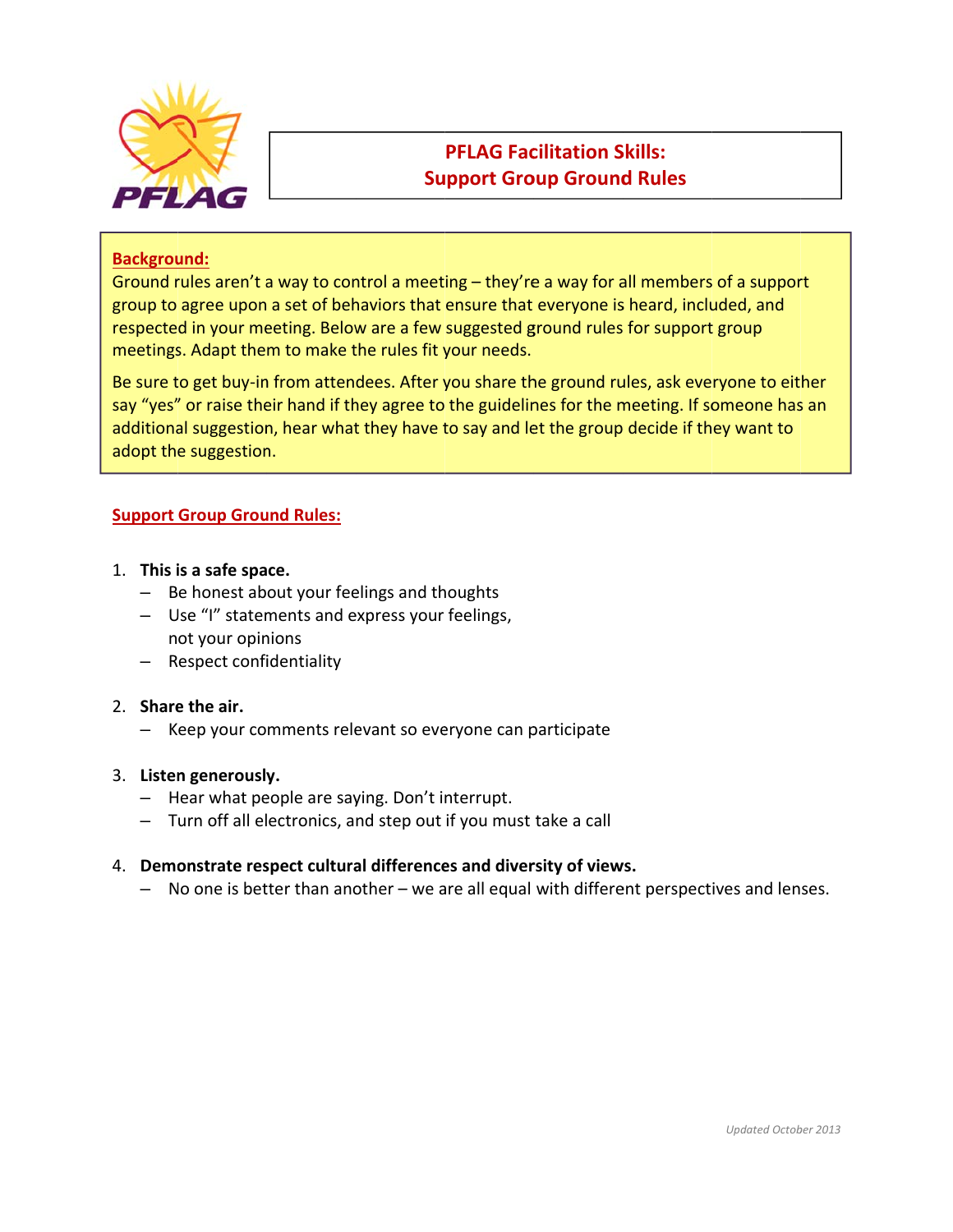

### **PFLAG Facilitation Skills: Support Group Ground Rules**

#### **Background:**

Ground rules aren't a way to control a meeting - they're a way for all members of a support group to agree upon a set of behaviors that ensure that everyone is heard, included, and respected in your meeting. Below are a few suggested ground rules for support group meetings. Adapt them to make the rules fit your needs.

Be sure to get buy-in from attendees. After you share the ground rules, ask everyone to either say "yes" or raise their hand if they agree to the guidelines for the meeting. If someone has an additional suggestion, hear what they have to say and let the group decide if they want to adopt the suggestion.

#### **Support Group Ground Rules:**

- 1. This is a safe space.
	- Be honest about your feelings and thoughts
	- Use "I" statements and express your feelings, not your opinions
	- Respect confidentiality

#### 2. Share the air.

- Keep your comments relevant so everyone can participate

#### 3. Listen generously.

- Hear what people are saying. Don't interrupt.
- Turn off all electronics, and step out if you must take a call

#### 4. Demonstrate respect cultural differences and diversity of views.

- No one is better than another - we are all equal with different perspectives and lenses.